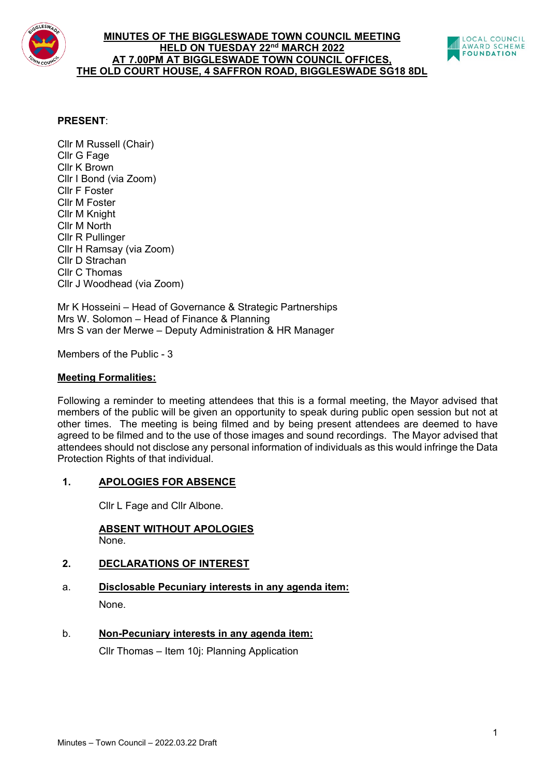

## **MINUTES OF THE BIGGLESWADE TOWN COUNCIL MEETING HELD ON TUESDAY 22nd MARCH 2022 AT 7.00PM AT BIGGLESWADE TOWN COUNCIL OFFICES, THE OLD COURT HOUSE, 4 SAFFRON ROAD, BIGGLESWADE SG18 8DL**



## **PRESENT**:

Cllr M Russell (Chair) Cllr G Fage Cllr K Brown Cllr I Bond (via Zoom) Cllr F Foster Cllr M Foster Cllr M Knight Cllr M North Cllr R Pullinger Cllr H Ramsay (via Zoom) Cllr D Strachan Cllr C Thomas Cllr J Woodhead (via Zoom)

Mr K Hosseini – Head of Governance & Strategic Partnerships Mrs W. Solomon – Head of Finance & Planning Mrs S van der Merwe – Deputy Administration & HR Manager

Members of the Public - 3

## **Meeting Formalities:**

Following a reminder to meeting attendees that this is a formal meeting, the Mayor advised that members of the public will be given an opportunity to speak during public open session but not at other times. The meeting is being filmed and by being present attendees are deemed to have agreed to be filmed and to the use of those images and sound recordings. The Mayor advised that attendees should not disclose any personal information of individuals as this would infringe the Data Protection Rights of that individual.

## **1. APOLOGIES FOR ABSENCE**

Cllr L Fage and Cllr Albone.

#### **ABSENT WITHOUT APOLOGIES** None.

## **2. DECLARATIONS OF INTEREST**

- a. **Disclosable Pecuniary interests in any agenda item:** None.
- b. **Non-Pecuniary interests in any agenda item:**

Cllr Thomas – Item 10j: Planning Application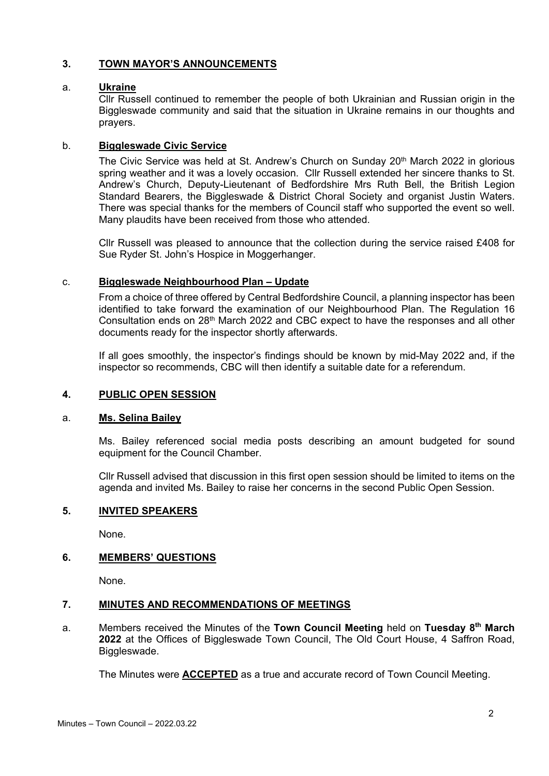# **3. TOWN MAYOR'S ANNOUNCEMENTS**

## a. **Ukraine**

Cllr Russell continued to remember the people of both Ukrainian and Russian origin in the Biggleswade community and said that the situation in Ukraine remains in our thoughts and prayers.

# b. **Biggleswade Civic Service**

The Civic Service was held at St. Andrew's Church on Sunday 20<sup>th</sup> March 2022 in glorious spring weather and it was a lovely occasion. Cllr Russell extended her sincere thanks to St. Andrew's Church, Deputy-Lieutenant of Bedfordshire Mrs Ruth Bell, the British Legion Standard Bearers, the Biggleswade & District Choral Society and organist Justin Waters. There was special thanks for the members of Council staff who supported the event so well. Many plaudits have been received from those who attended.

Cllr Russell was pleased to announce that the collection during the service raised £408 for Sue Ryder St. John's Hospice in Moggerhanger.

## c. **Biggleswade Neighbourhood Plan – Update**

From a choice of three offered by Central Bedfordshire Council, a planning inspector has been identified to take forward the examination of our Neighbourhood Plan. The Regulation 16 Consultation ends on 28<sup>th</sup> March 2022 and CBC expect to have the responses and all other documents ready for the inspector shortly afterwards.

If all goes smoothly, the inspector's findings should be known by mid-May 2022 and, if the inspector so recommends, CBC will then identify a suitable date for a referendum.

## **4. PUBLIC OPEN SESSION**

## a. **Ms. Selina Bailey**

Ms. Bailey referenced social media posts describing an amount budgeted for sound equipment for the Council Chamber.

Cllr Russell advised that discussion in this first open session should be limited to items on the agenda and invited Ms. Bailey to raise her concerns in the second Public Open Session.

## **5. INVITED SPEAKERS**

None.

#### **6. MEMBERS' QUESTIONS**

None.

## **7. MINUTES AND RECOMMENDATIONS OF MEETINGS**

a. Members received the Minutes of the **Town Council Meeting** held on **Tuesday 8th March 2022** at the Offices of Biggleswade Town Council, The Old Court House, 4 Saffron Road, Biggleswade.

The Minutes were **ACCEPTED** as a true and accurate record of Town Council Meeting.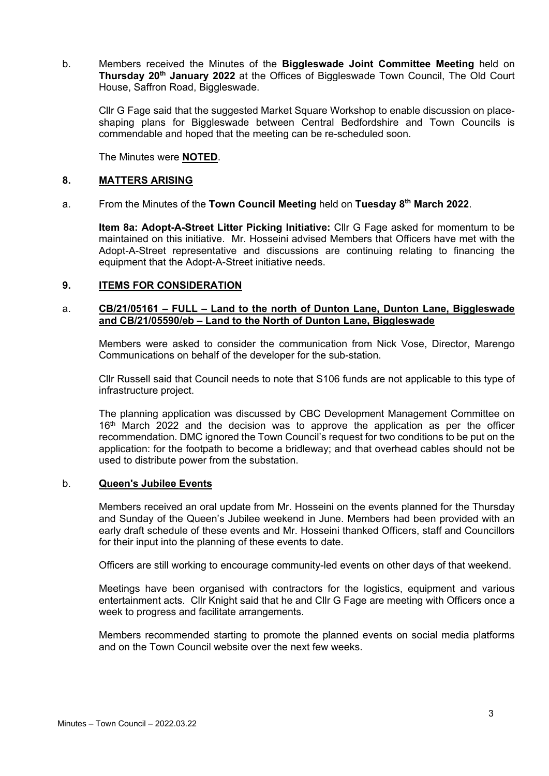b. Members received the Minutes of the **Biggleswade Joint Committee Meeting** held on **Thursday 20th January 2022** at the Offices of Biggleswade Town Council, The Old Court House, Saffron Road, Biggleswade.

Cllr G Fage said that the suggested Market Square Workshop to enable discussion on placeshaping plans for Biggleswade between Central Bedfordshire and Town Councils is commendable and hoped that the meeting can be re-scheduled soon.

The Minutes were **NOTED**.

## **8. MATTERS ARISING**

a. From the Minutes of the **Town Council Meeting** held on **Tuesday 8th March 2022**.

**Item 8a: Adopt-A-Street Litter Picking Initiative:** Cllr G Fage asked for momentum to be maintained on this initiative. Mr. Hosseini advised Members that Officers have met with the Adopt-A-Street representative and discussions are continuing relating to financing the equipment that the Adopt-A-Street initiative needs.

## **9. ITEMS FOR CONSIDERATION**

## a. **CB/21/05161 – FULL – Land to the north of Dunton Lane, Dunton Lane, Biggleswade and CB/21/05590/eb – Land to the North of Dunton Lane, Biggleswade**

Members were asked to consider the communication from Nick Vose, Director, Marengo Communications on behalf of the developer for the sub-station.

Cllr Russell said that Council needs to note that S106 funds are not applicable to this type of infrastructure project.

The planning application was discussed by CBC Development Management Committee on 16<sup>th</sup> March 2022 and the decision was to approve the application as per the officer recommendation. DMC ignored the Town Council's request for two conditions to be put on the application: for the footpath to become a bridleway; and that overhead cables should not be used to distribute power from the substation.

#### b. **Queen's Jubilee Events**

Members received an oral update from Mr. Hosseini on the events planned for the Thursday and Sunday of the Queen's Jubilee weekend in June. Members had been provided with an early draft schedule of these events and Mr. Hosseini thanked Officers, staff and Councillors for their input into the planning of these events to date.

Officers are still working to encourage community-led events on other days of that weekend.

Meetings have been organised with contractors for the logistics, equipment and various entertainment acts. Cllr Knight said that he and Cllr G Fage are meeting with Officers once a week to progress and facilitate arrangements.

Members recommended starting to promote the planned events on social media platforms and on the Town Council website over the next few weeks.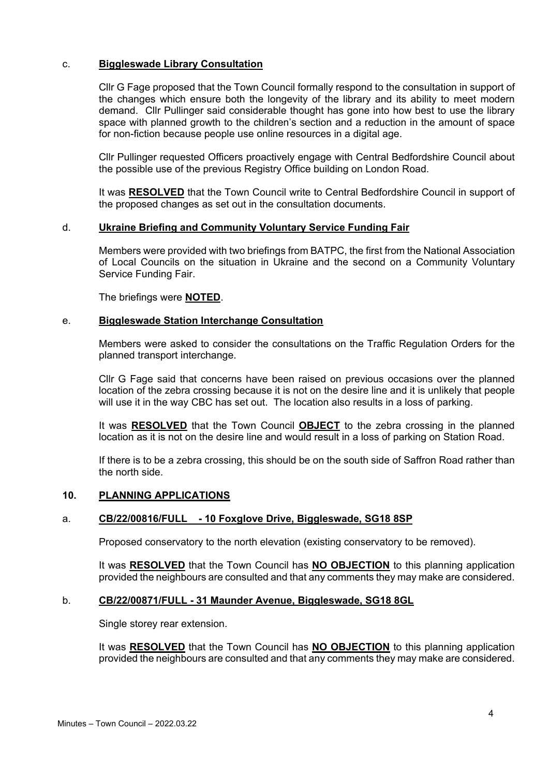## c. **Biggleswade Library Consultation**

Cllr G Fage proposed that the Town Council formally respond to the consultation in support of the changes which ensure both the longevity of the library and its ability to meet modern demand. Cllr Pullinger said considerable thought has gone into how best to use the library space with planned growth to the children's section and a reduction in the amount of space for non-fiction because people use online resources in a digital age.

Cllr Pullinger requested Officers proactively engage with Central Bedfordshire Council about the possible use of the previous Registry Office building on London Road.

It was **RESOLVED** that the Town Council write to Central Bedfordshire Council in support of the proposed changes as set out in the consultation documents.

#### d. **Ukraine Briefing and Community Voluntary Service Funding Fair**

Members were provided with two briefings from BATPC, the first from the National Association of Local Councils on the situation in Ukraine and the second on a Community Voluntary Service Funding Fair.

The briefings were **NOTED**.

#### e. **Biggleswade Station Interchange Consultation**

Members were asked to consider the consultations on the Traffic Regulation Orders for the planned transport interchange.

Cllr G Fage said that concerns have been raised on previous occasions over the planned location of the zebra crossing because it is not on the desire line and it is unlikely that people will use it in the way CBC has set out. The location also results in a loss of parking.

It was **RESOLVED** that the Town Council **OBJECT** to the zebra crossing in the planned location as it is not on the desire line and would result in a loss of parking on Station Road.

If there is to be a zebra crossing, this should be on the south side of Saffron Road rather than the north side.

## **10. PLANNING APPLICATIONS**

## a. **CB/22/00816/FULL - [10 Foxglove Drive, Biggleswade, SG18 8SP](http://cbstor.centralbedfordshire.gov.uk/publicportalviewer/publicViewer.html?caseID=CB/22/00816/FULL)**

Proposed conservatory to the north elevation (existing conservatory to be removed).

It was **RESOLVED** that the Town Council has **NO OBJECTION** to this planning application provided the neighbours are consulted and that any comments they may make are considered.

## b. **CB/22/00871/FULL - [31 Maunder Avenue, Biggleswade, SG18 8GL](http://cbstor.centralbedfordshire.gov.uk/publicportalviewer/publicViewer.html?caseID=CB/22/00871/FULL)**

Single storey rear extension.

It was **RESOLVED** that the Town Council has **NO OBJECTION** to this planning application provided the neighbours are consulted and that any comments they may make are considered.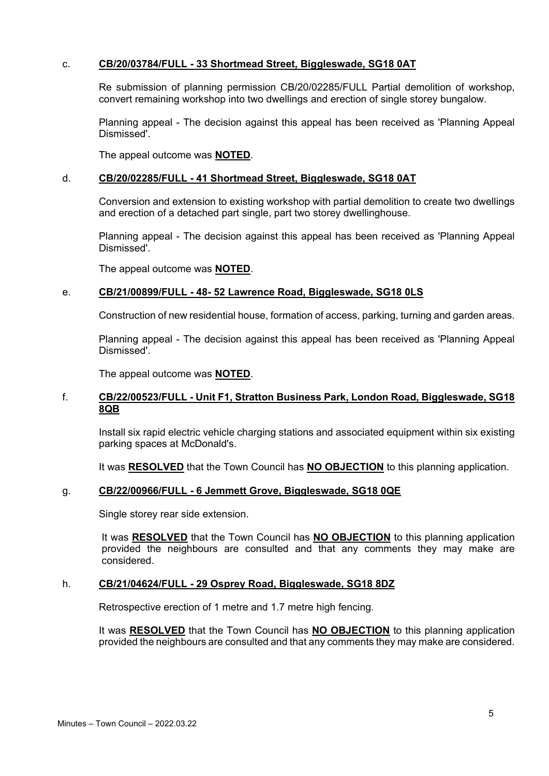## c. **CB/20/03784/FULL - [33 Shortmead Street, Biggleswade,](http://cbstor.centralbedfordshire.gov.uk/publicportalviewer/publicViewer.html?caseID=CB/20/03784/FULL) SG18 0AT**

Re submission of planning permission CB/20/02285/FULL Partial demolition of workshop, convert remaining workshop into two dwellings and erection of single storey bungalow.

Planning appeal - The decision against this appeal has been received as 'Planning Appeal Dismissed'.

The appeal outcome was **NOTED**.

### d. **CB/20/02285/FULL - [41 Shortmead Street, Biggleswade, SG18 0AT](http://cbstor.centralbedfordshire.gov.uk/publicportalviewer/publicViewer.html?caseID=CB/20/02285/FULL)**

Conversion and extension to existing workshop with partial demolition to create two dwellings and erection of a detached part single, part two storey dwellinghouse.

Planning appeal - The decision against this appeal has been received as 'Planning Appeal Dismissed'.

The appeal outcome was **NOTED**.

#### e. **CB/21/00899/FULL - 48- [52 Lawrence Road, Biggleswade, SG18 0LS](http://cbstor.centralbedfordshire.gov.uk/publicportalviewer/publicViewer.html?caseID=CB/21/00899/FULL)**

Construction of new residential house, formation of access, parking, turning and garden areas.

Planning appeal - The decision against this appeal has been received as 'Planning Appeal Dismissed'.

The appeal outcome was **NOTED**.

## f. **CB/22/00523/FULL - [Unit F1, Stratton Business Park, London Road, Biggleswade, SG18](http://cbstor.centralbedfordshire.gov.uk/publicportalviewer/publicViewer.html?caseID=CB/22/00523/FULL)  [8QB](http://cbstor.centralbedfordshire.gov.uk/publicportalviewer/publicViewer.html?caseID=CB/22/00523/FULL)**

Install six rapid electric vehicle charging stations and associated equipment within six existing parking spaces at McDonald's.

It was **RESOLVED** that the Town Council has **NO OBJECTION** to this planning application.

## g. **CB/22/00966/FULL - [6 Jemmett Grove, Biggleswade, SG18 0QE](http://plantech.centralbedfordshire.gov.uk/PLANTECH/DCWebPages/acolnetcgi.gov?ACTION=UNWRAP&RIPNAME=Root.PgeResultDetail&TheSystemkey=628164)**

Single storey rear side extension.

It was **RESOLVED** that the Town Council has **NO OBJECTION** to this planning application provided the neighbours are consulted and that any comments they may make are considered.

#### h. **CB/21/04624/FULL - [29 Osprey Road, Biggleswade, SG18 8DZ](http://cbstor.centralbedfordshire.gov.uk/publicportalviewer/publicViewer.html?caseID=CB/21/04624/FULL)**

Retrospective erection of 1 metre and 1.7 metre high fencing.

It was **RESOLVED** that the Town Council has **NO OBJECTION** to this planning application provided the neighbours are consulted and that any comments they may make are considered.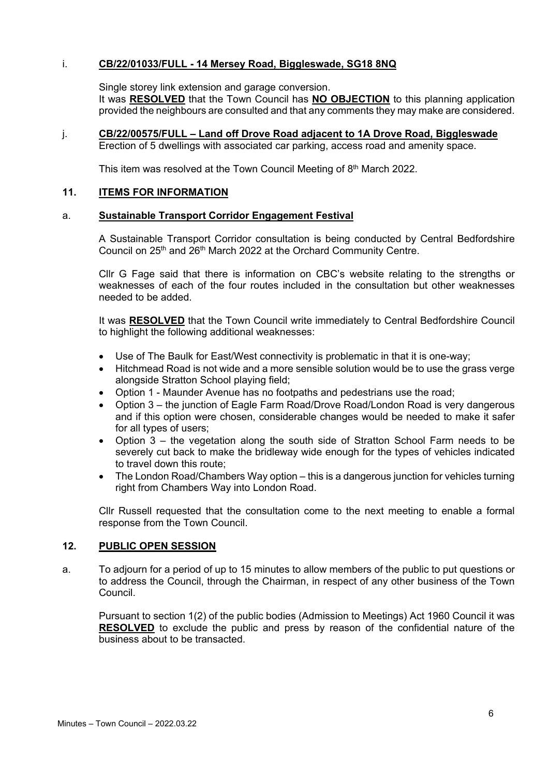## i. **CB/22/01033/FULL - [14 Mersey Road, Biggleswade, SG18 8NQ](http://plantech.centralbedfordshire.gov.uk/PLANTECH/DCWebPages/acolnetcgi.gov?ACTION=UNWRAP&RIPNAME=Root.PgeResultDetail&TheSystemkey=628231)**

Single storey link extension and garage conversion.

It was **RESOLVED** that the Town Council has **NO OBJECTION** to this planning application provided the neighbours are consulted and that any comments they may make are considered.

j. **CB/22/00575/FULL – [Land off Drove Road adjacent to 1A Drove Road, Biggleswade](http://cbstor.centralbedfordshire.gov.uk/publicportalviewer/publicViewer.html?caseID=CB/22/00575/FULL)**

Erection of 5 dwellings with associated car parking, access road and amenity space.

This item was resolved at the Town Council Meeting of 8<sup>th</sup> March 2022.

## **11. ITEMS FOR INFORMATION**

## a. **Sustainable Transport Corridor Engagement Festival**

A Sustainable Transport Corridor consultation is being conducted by Central Bedfordshire Council on 25<sup>th</sup> and 26<sup>th</sup> March 2022 at the Orchard Community Centre.

Cllr G Fage said that there is information on CBC's website relating to the strengths or weaknesses of each of the four routes included in the consultation but other weaknesses needed to be added.

It was **RESOLVED** that the Town Council write immediately to Central Bedfordshire Council to highlight the following additional weaknesses:

- Use of The Baulk for East/West connectivity is problematic in that it is one-way;
- Hitchmead Road is not wide and a more sensible solution would be to use the grass verge alongside Stratton School playing field;
- Option 1 Maunder Avenue has no footpaths and pedestrians use the road;
- Option 3 the junction of Eagle Farm Road/Drove Road/London Road is very dangerous and if this option were chosen, considerable changes would be needed to make it safer for all types of users;
- Option 3 the vegetation along the south side of Stratton School Farm needs to be severely cut back to make the bridleway wide enough for the types of vehicles indicated to travel down this route;
- The London Road/Chambers Way option this is a dangerous junction for vehicles turning right from Chambers Way into London Road.

Cllr Russell requested that the consultation come to the next meeting to enable a formal response from the Town Council.

## **12. PUBLIC OPEN SESSION**

a. To adjourn for a period of up to 15 minutes to allow members of the public to put questions or to address the Council, through the Chairman, in respect of any other business of the Town **Council** 

Pursuant to section 1(2) of the public bodies (Admission to Meetings) Act 1960 Council it was **RESOLVED** to exclude the public and press by reason of the confidential nature of the business about to be transacted.